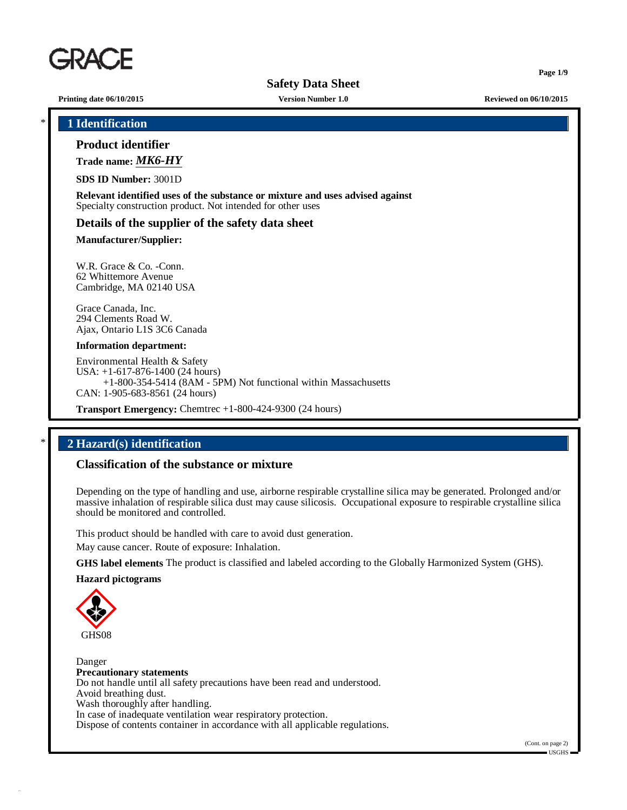

**Page 1/9**

**Printing date 06/10/2015 Version Number 1.0 Reviewed on 06/10/2015**

\* **1 Identification**

**Product identifier**

**Trade name:** *MK6-HY*

**SDS ID Number:** 3001D

**Relevant identified uses of the substance or mixture and uses advised against** Specialty construction product. Not intended for other uses

#### **Details of the supplier of the safety data sheet**

**Manufacturer/Supplier:**

W.R. Grace & Co. -Conn. 62 Whittemore Avenue Cambridge, MA 02140 USA

Grace Canada, Inc. 294 Clements Road W. Ajax, Ontario L1S 3C6 Canada

#### **Information department:**

Environmental Health & Safety USA: +1-617-876-1400 (24 hours) +1-800-354-5414 (8AM - 5PM) Not functional within Massachusetts CAN: 1-905-683-8561 (24 hours)

**Transport Emergency:** Chemtrec +1-800-424-9300 (24 hours)

# \* **2 Hazard(s) identification**

### **Classification of the substance or mixture**

Depending on the type of handling and use, airborne respirable crystalline silica may be generated. Prolonged and/or massive inhalation of respirable silica dust may cause silicosis. Occupational exposure to respirable crystalline silica should be monitored and controlled.

This product should be handled with care to avoid dust generation.

May cause cancer. Route of exposure: Inhalation.

**GHS label elements** The product is classified and labeled according to the Globally Harmonized System (GHS).

#### **Hazard pictograms**



Danger **Precautionary statements** Do not handle until all safety precautions have been read and understood. Avoid breathing dust. Wash thoroughly after handling. In case of inadequate ventilation wear respiratory protection. Dispose of contents container in accordance with all applicable regulations.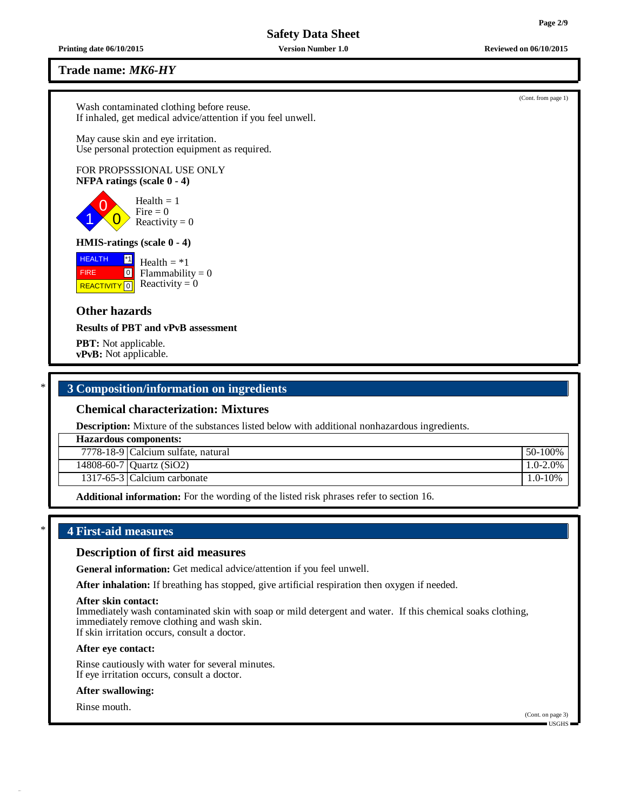**Trade name:** *MK6-HY*

Wash contaminated clothing before reuse. If inhaled, get medical advice/attention if you feel unwell.

May cause skin and eye irritation. Use personal protection equipment as required.

# FOR PROPSSSIONAL USE ONLY **NFPA ratings (scale 0 - 4)**



#### **HMIS-ratings (scale 0 - 4)**

| $^*1$<br><b>HEALTH</b> | Health $=$ *1                         |
|------------------------|---------------------------------------|
| 0 <br><b>FIRE</b>      | $Flammability = 0$                    |
|                        | REACTIVITY $\boxed{0}$ Reactivity = 0 |

# **Other hazards**

**Results of PBT and vPvB assessment**

**PBT:** Not applicable. **vPvB:** Not applicable.

# \* **3 Composition/information on ingredients**

# **Chemical characterization: Mixtures**

**Description:** Mixture of the substances listed below with additional nonhazardous ingredients.

| <b>Hazardous components:</b>       |               |
|------------------------------------|---------------|
| 7778-18-9 Calcium sulfate, natural | 50-100%       |
| 14808-60-7   Quartz $(SiO2)$       | $1.0 - 2.0\%$ |
| 1317-65-3 Calcium carbonate        | $1.0 - 10\%$  |
|                                    |               |

**Additional information:** For the wording of the listed risk phrases refer to section 16.

# \* **4 First-aid measures**

### **Description of first aid measures**

**General information:** Get medical advice/attention if you feel unwell.

**After inhalation:** If breathing has stopped, give artificial respiration then oxygen if needed.

#### **After skin contact:**

Immediately wash contaminated skin with soap or mild detergent and water. If this chemical soaks clothing, immediately remove clothing and wash skin. If skin irritation occurs, consult a doctor.

#### **After eye contact:**

Rinse cautiously with water for several minutes. If eye irritation occurs, consult a doctor.

#### **After swallowing:**

Rinse mouth.

**Printing date 06/10/2015 Version Number 1.0 Reviewed on 06/10/2015**

(Cont. from page 1)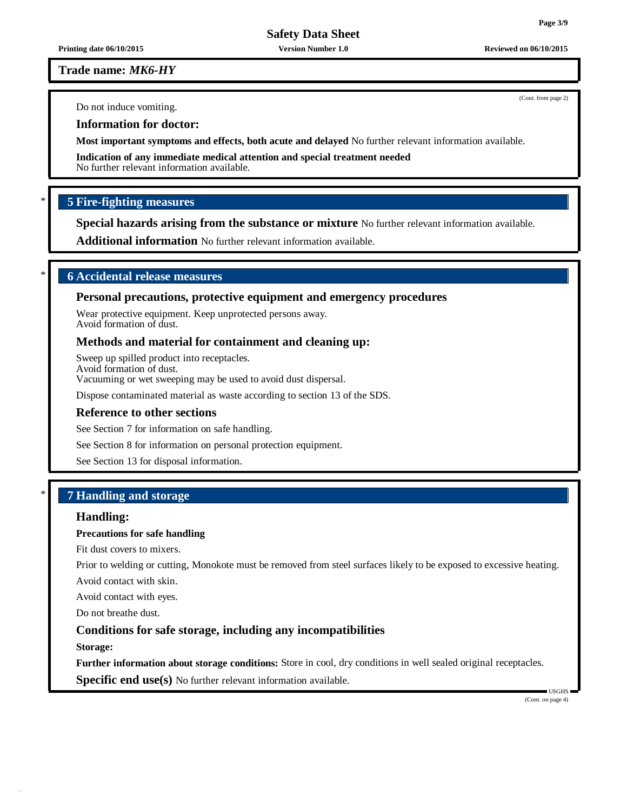**Printing date 06/10/2015 Version Number 1.0 Reviewed on 06/10/2015**

**Trade name:** *MK6-HY*

Do not induce vomiting.

**Information for doctor:**

**Most important symptoms and effects, both acute and delayed** No further relevant information available.

**Indication of any immediate medical attention and special treatment needed** No further relevant information available.

# \* **5 Fire-fighting measures**

**Special hazards arising from the substance or mixture** No further relevant information available.

**Additional information** No further relevant information available.

# \* **6 Accidental release measures**

# **Personal precautions, protective equipment and emergency procedures**

Wear protective equipment. Keep unprotected persons away. Avoid formation of dust.

# **Methods and material for containment and cleaning up:**

Sweep up spilled product into receptacles. Avoid formation of dust. Vacuuming or wet sweeping may be used to avoid dust dispersal.

Dispose contaminated material as waste according to section 13 of the SDS.

#### **Reference to other sections**

See Section 7 for information on safe handling.

See Section 8 for information on personal protection equipment.

See Section 13 for disposal information.

# \* **7 Handling and storage**

# **Handling:**

## **Precautions for safe handling**

Fit dust covers to mixers.

Prior to welding or cutting, Monokote must be removed from steel surfaces likely to be exposed to excessive heating.

Avoid contact with skin.

Avoid contact with eyes.

Do not breathe dust.

# **Conditions for safe storage, including any incompatibilities**

**Storage:**

**Further information about storage conditions:** Store in cool, dry conditions in well sealed original receptacles.

**Specific end use(s)** No further relevant information available.

(Cont. on page 4)

USGHS

(Cont. from page 2)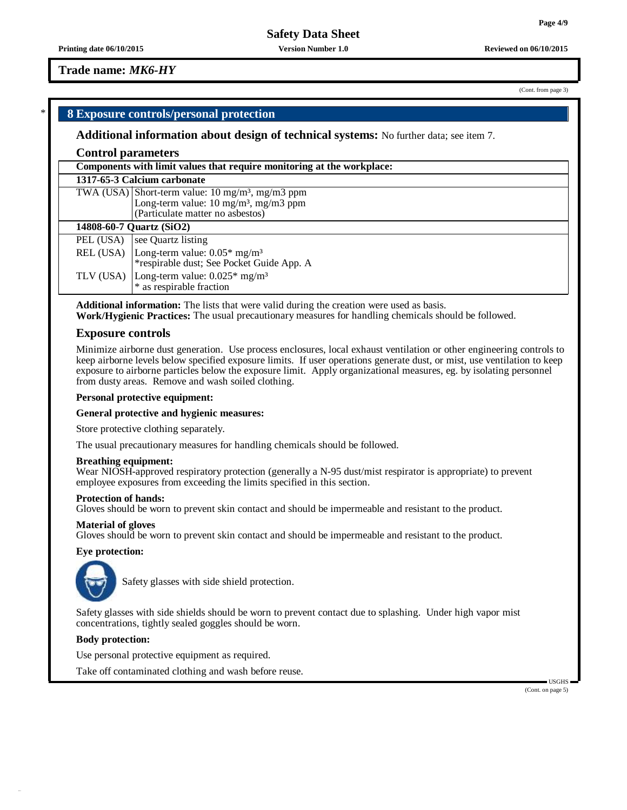**Printing date 06/10/2015 Version Number 1.0 Reviewed on 06/10/2015**

# **Trade name:** *MK6-HY*

# \* **8 Exposure controls/personal protection**

#### **Additional information about design of technical systems:** No further data; see item 7.

# **Control parameters**

|                          | Components with limit values that require monitoring at the workplace:                                                                              |  |
|--------------------------|-----------------------------------------------------------------------------------------------------------------------------------------------------|--|
|                          | 1317-65-3 Calcium carbonate                                                                                                                         |  |
|                          | TWA (USA) Short-term value: $10 \text{ mg/m}^3$ , mg/m3 ppm<br>Long-term value: $10 \text{ mg/m}^3$ , mg/m3 ppm<br>(Particulate matter no asbestos) |  |
| 14808-60-7 Quartz (SiO2) |                                                                                                                                                     |  |
| PEL (USA)                | see Quartz listing                                                                                                                                  |  |
|                          | REL (USA) $\vert$ Long-term value: 0.05* mg/m <sup>3</sup><br>*respirable dust; See Pocket Guide App. A                                             |  |
|                          | TLV (USA) Long-term value: $0.025^*$ mg/m <sup>3</sup><br>* as respirable fraction                                                                  |  |

**Additional information:** The lists that were valid during the creation were used as basis.

**Work/Hygienic Practices:** The usual precautionary measures for handling chemicals should be followed.

#### **Exposure controls**

Minimize airborne dust generation. Use process enclosures, local exhaust ventilation or other engineering controls to keep airborne levels below specified exposure limits. If user operations generate dust, or mist, use ventilation to keep exposure to airborne particles below the exposure limit. Apply organizational measures, eg. by isolating personnel from dusty areas. Remove and wash soiled clothing.

#### **Personal protective equipment:**

#### **General protective and hygienic measures:**

Store protective clothing separately.

The usual precautionary measures for handling chemicals should be followed.

#### **Breathing equipment:**

Wear NIOSH-approved respiratory protection (generally a N-95 dust/mist respirator is appropriate) to prevent employee exposures from exceeding the limits specified in this section.

#### **Protection of hands:**

Gloves should be worn to prevent skin contact and should be impermeable and resistant to the product.

#### **Material of gloves**

Gloves should be worn to prevent skin contact and should be impermeable and resistant to the product.

# **Eye protection:**



Safety glasses with side shield protection.

Safety glasses with side shields should be worn to prevent contact due to splashing. Under high vapor mist concentrations, tightly sealed goggles should be worn.

# **Body protection:**

Use personal protective equipment as required.

Take off contaminated clothing and wash before reuse.

 $-1$ ISGHS (Cont. on page 5)

(Cont. from page 3)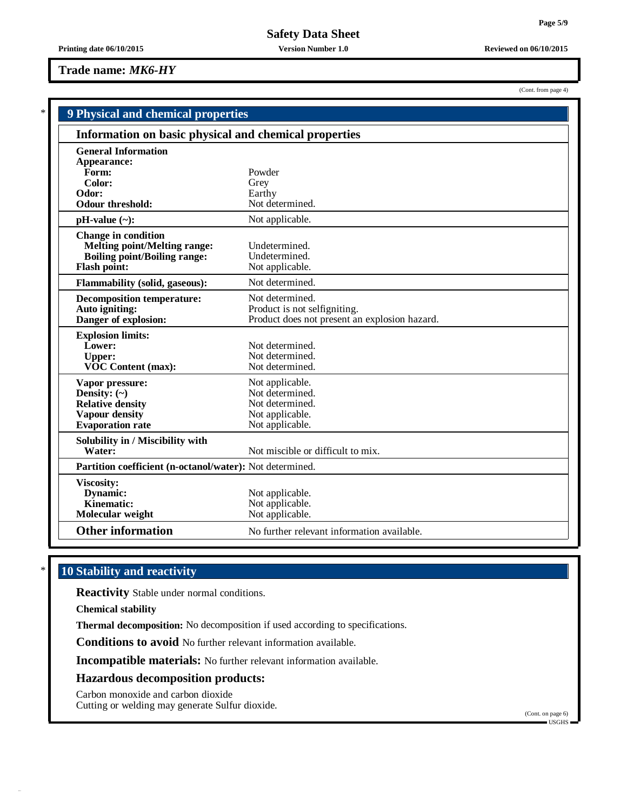(Cont. from page 4)

**Safety Data Sheet**

#### **Printing date 06/10/2015 Version Number 1.0 Reviewed on 06/10/2015**

# **Trade name:** *MK6-HY*

| <b>9 Physical and chemical properties</b>                                                                                       |                                                                                                  |
|---------------------------------------------------------------------------------------------------------------------------------|--------------------------------------------------------------------------------------------------|
| Information on basic physical and chemical properties                                                                           |                                                                                                  |
| <b>General Information</b><br>Appearance:<br>Form:<br>Color:<br>Odor:<br><b>Odour threshold:</b>                                | Powder<br>Grey<br>Earthy<br>Not determined.                                                      |
| $pH-value (\sim):$                                                                                                              | Not applicable.                                                                                  |
| <b>Change in condition</b><br><b>Melting point/Melting range:</b><br><b>Boiling point/Boiling range:</b><br><b>Flash point:</b> | Undetermined.<br>Undetermined.<br>Not applicable.                                                |
| Flammability (solid, gaseous):                                                                                                  | Not determined.                                                                                  |
| <b>Decomposition temperature:</b><br>Auto igniting:<br>Danger of explosion:                                                     | Not determined.<br>Product is not selfigniting.<br>Product does not present an explosion hazard. |
| <b>Explosion limits:</b><br>Lower:<br><b>Upper:</b><br><b>VOC Content (max):</b>                                                | Not determined.<br>Not determined.<br>Not determined.                                            |
| Vapor pressure:<br>Density: $(\sim)$<br><b>Relative density</b><br>Vapour density<br><b>Evaporation rate</b>                    | Not applicable.<br>Not determined.<br>Not determined.<br>Not applicable.<br>Not applicable.      |
| Solubility in / Miscibility with<br>Water:                                                                                      | Not miscible or difficult to mix.                                                                |
| Partition coefficient (n-octanol/water): Not determined.                                                                        |                                                                                                  |
| <b>Viscosity:</b><br>Dynamic:<br>Kinematic:<br>Molecular weight                                                                 | Not applicable.<br>Not applicable.<br>Not applicable.                                            |
| <b>Other information</b>                                                                                                        | No further relevant information available.                                                       |

# \* **10 Stability and reactivity**

**Reactivity** Stable under normal conditions.

**Chemical stability**

**Thermal decomposition:** No decomposition if used according to specifications.

**Conditions to avoid** No further relevant information available.

**Incompatible materials:** No further relevant information available.

# **Hazardous decomposition products:**

Carbon monoxide and carbon dioxide Cutting or welding may generate Sulfur dioxide.

(Cont. on page 6) USGHS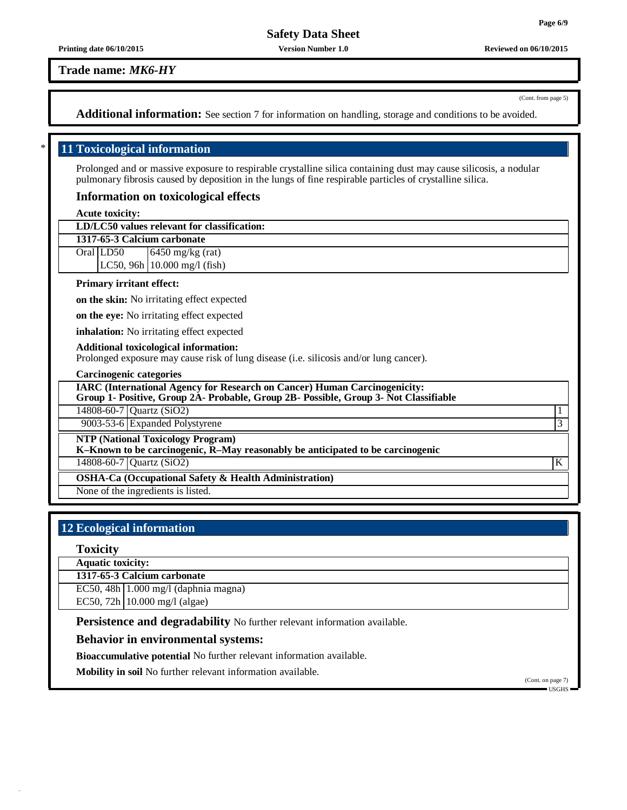**Printing date 06/10/2015 Version Number 1.0 Reviewed on 06/10/2015**

**Trade name:** *MK6-HY*

(Cont. from page 5)

**Additional information:** See section 7 for information on handling, storage and conditions to be avoided.

# \* **11 Toxicological information**

Prolonged and or massive exposure to respirable crystalline silica containing dust may cause silicosis, a nodular pulmonary fibrosis caused by deposition in the lungs of fine respirable particles of crystalline silica.

# **Information on toxicological effects**

# **Acute toxicity:**

| LD/LC50 values relevant for classification:                                                                                            |                |
|----------------------------------------------------------------------------------------------------------------------------------------|----------------|
| 1317-65-3 Calcium carbonate                                                                                                            |                |
| Oral LD50<br>$6450$ mg/kg (rat)                                                                                                        |                |
| LC50, 96h $(10.000 \text{ mg/l} \text{ (fish)}$                                                                                        |                |
| <b>Primary irritant effect:</b>                                                                                                        |                |
| on the skin: No irritating effect expected                                                                                             |                |
| on the eye: No irritating effect expected                                                                                              |                |
| inhalation: No irritating effect expected                                                                                              |                |
| <b>Additional toxicological information:</b><br>Prolonged exposure may cause risk of lung disease (i.e. silicosis and/or lung cancer). |                |
| <b>Carcinogenic categories</b>                                                                                                         |                |
| <b>IARC (International Agency for Research on Cancer) Human Carcinogenicity:</b>                                                       |                |
| Group 1- Positive, Group 2A- Probable, Group 2B- Possible, Group 3- Not Classifiable                                                   |                |
| 14808-60-7 Quartz (SiO2)                                                                                                               | 1              |
| 9003-53-6 Expanded Polystyrene                                                                                                         | $\overline{3}$ |
| <b>NTP (National Toxicology Program)</b><br>K-Known to be carcinogenic, R-May reasonably be anticipated to be carcinogenic             |                |
| 14808-60-7   Quartz (SiO2)                                                                                                             | K              |
| <b>OSHA-Ca (Occupational Safety &amp; Health Administration)</b>                                                                       |                |
| None of the ingredients is listed.                                                                                                     |                |

# **12 Ecological information**

#### **Toxicity**

**Aquatic toxicity:**

**1317-65-3 Calcium carbonate**

EC50, 48h 1.000 mg/l (daphnia magna)

EC50, 72h 10.000 mg/l (algae)

**Persistence and degradability** No further relevant information available.

# **Behavior in environmental systems:**

**Bioaccumulative potential** No further relevant information available.

**Mobility in soil** No further relevant information available.

(Cont. on page 7) USGHS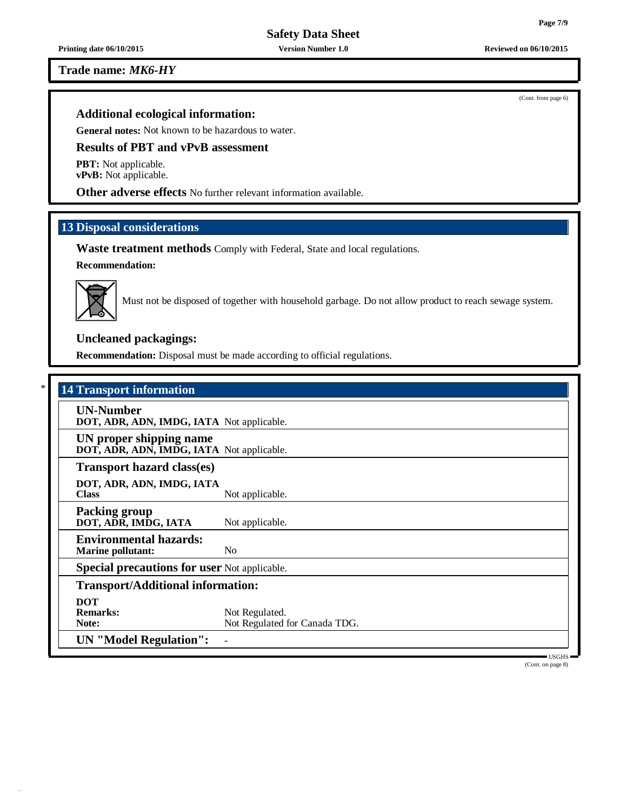**Printing date 06/10/2015 Version Number 1.0 Reviewed on 06/10/2015**

**Trade name:** *MK6-HY*

# **Additional ecological information:**

**General notes:** Not known to be hazardous to water.

# **Results of PBT and vPvB assessment**

**PBT:** Not applicable. **vPvB:** Not applicable.

**Other adverse effects** No further relevant information available.

# **13 Disposal considerations**

**Waste treatment methods** Comply with Federal, State and local regulations.

**Recommendation:**



Must not be disposed of together with household garbage. Do not allow product to reach sewage system.

# **Uncleaned packagings:**

**Recommendation:** Disposal must be made according to official regulations.

# \* **14 Transport information**

| <b>UN-Number</b><br>DOT, ADR, ADN, IMDG, IATA Not applicable.        |                                                 |
|----------------------------------------------------------------------|-------------------------------------------------|
| UN proper shipping name<br>DOT, ADR, ADN, IMDG, IATA Not applicable. |                                                 |
| <b>Transport hazard class(es)</b>                                    |                                                 |
| DOT, ADR, ADN, IMDG, IATA<br><b>Class</b>                            | Not applicable.                                 |
| <b>Packing group</b><br>DOT, ADR, IMDG, IATA                         | Not applicable.                                 |
| <b>Environmental hazards:</b><br><b>Marine pollutant:</b>            | N <sub>0</sub>                                  |
| <b>Special precautions for user Not applicable.</b>                  |                                                 |
| <b>Transport/Additional information:</b>                             |                                                 |
| <b>DOT</b><br><b>Remarks:</b><br>Note:                               | Not Regulated.<br>Not Regulated for Canada TDG. |
| <b>UN</b> "Model Regulation":                                        |                                                 |

USGHS (Cont. on page 8)

(Cont. from page 6)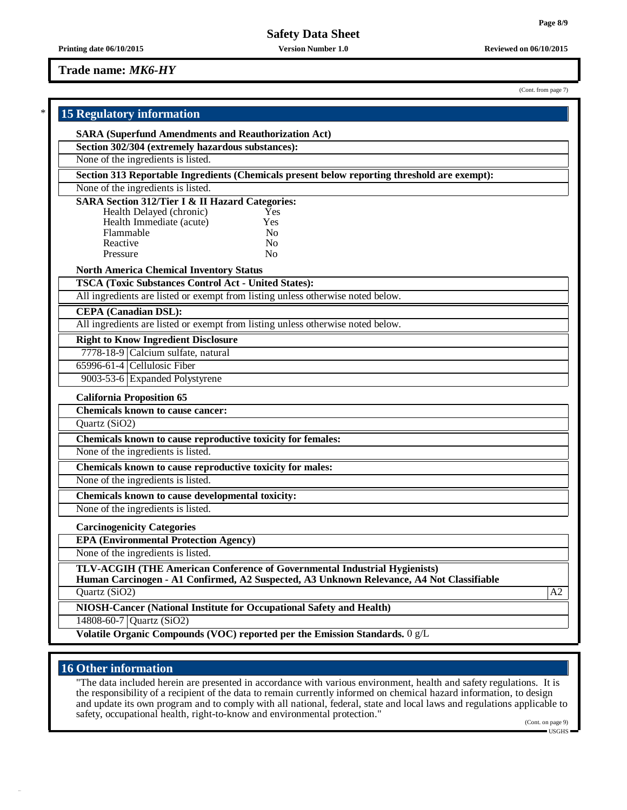# **Trade name:** *MK6-HY*

| (Cont. from page 7) |  |  |  |
|---------------------|--|--|--|
|---------------------|--|--|--|

| <b>15 Regulatory information</b>                                                                                                                                      |
|-----------------------------------------------------------------------------------------------------------------------------------------------------------------------|
| <b>SARA (Superfund Amendments and Reauthorization Act)</b>                                                                                                            |
| Section 302/304 (extremely hazardous substances):                                                                                                                     |
| None of the ingredients is listed.                                                                                                                                    |
| Section 313 Reportable Ingredients (Chemicals present below reporting threshold are exempt):                                                                          |
| None of the ingredients is listed.                                                                                                                                    |
| <b>SARA Section 312/Tier I &amp; II Hazard Categories:</b>                                                                                                            |
| Health Delayed (chronic)<br>Yes                                                                                                                                       |
| Health Immediate (acute)<br>Yes                                                                                                                                       |
| Flammable<br>N <sub>0</sub><br>Reactive<br>N <sub>o</sub>                                                                                                             |
| Pressure<br>N <sub>o</sub>                                                                                                                                            |
| <b>North America Chemical Inventory Status</b>                                                                                                                        |
| <b>TSCA (Toxic Substances Control Act - United States):</b>                                                                                                           |
| All ingredients are listed or exempt from listing unless otherwise noted below.                                                                                       |
| <b>CEPA</b> (Canadian DSL):                                                                                                                                           |
| All ingredients are listed or exempt from listing unless otherwise noted below.                                                                                       |
| <b>Right to Know Ingredient Disclosure</b>                                                                                                                            |
| 7778-18-9 Calcium sulfate, natural                                                                                                                                    |
| 65996-61-4 Cellulosic Fiber                                                                                                                                           |
| 9003-53-6 Expanded Polystyrene                                                                                                                                        |
| <b>California Proposition 65</b>                                                                                                                                      |
| <b>Chemicals known to cause cancer:</b>                                                                                                                               |
| Quartz (SiO2)                                                                                                                                                         |
| Chemicals known to cause reproductive toxicity for females:                                                                                                           |
| None of the ingredients is listed.                                                                                                                                    |
| Chemicals known to cause reproductive toxicity for males:                                                                                                             |
| None of the ingredients is listed.                                                                                                                                    |
| Chemicals known to cause developmental toxicity:                                                                                                                      |
| None of the ingredients is listed.                                                                                                                                    |
| <b>Carcinogenicity Categories</b>                                                                                                                                     |
| <b>EPA (Environmental Protection Agency)</b>                                                                                                                          |
| None of the ingredients is listed.                                                                                                                                    |
| TLV-ACGIH (THE American Conference of Governmental Industrial Hygienists)<br>Human Carcinogen - A1 Confirmed, A2 Suspected, A3 Unknown Relevance, A4 Not Classifiable |
| Quartz (SiO2)<br>A2                                                                                                                                                   |
| NIOSH-Cancer (National Institute for Occupational Safety and Health)                                                                                                  |
| 14808-60-7 Quartz (SiO2)                                                                                                                                              |
| Volatile Organic Compounds (VOC) reported per the Emission Standards. 0 g/L                                                                                           |

# **16 Other information**

"The data included herein are presented in accordance with various environment, health and safety regulations. It is the responsibility of a recipient of the data to remain currently informed on chemical hazard information, to design and update its own program and to comply with all national, federal, state and local laws and regulations applicable to safety, occupational health, right-to-know and environmental protection."

(Cont. on page 9)  $\equiv$  USGHS $\equiv$